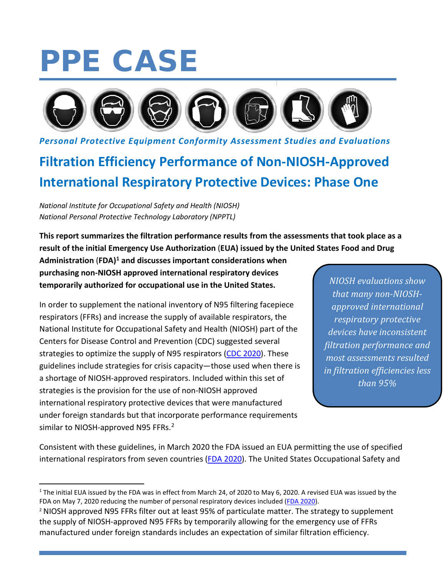# PPE CASE



*Personal Protective Equipment Conformity Assessment Studies and Evaluations*

# **Filtration Efficiency Performance of Non-NIOSH-Approved International Respiratory Protective Devices: Phase One**

*National Institute for Occupational Safety and Health (NIOSH) National Personal Protective Technology Laboratory (NPPTL)* 

**This report summarizes the filtration performance results from the assessments that took place as a result of the initial Emergency Use Authorization** (**EUA) issued by the United States Food and Drug** 

**Administration** (**FDA)[1](#page-0-0) and discusses important considerations when purchasing non-NIOSH approved international respiratory devices temporarily authorized for occupational use in the United States.** 

In order to supplement the national inventory of N95 filtering facepiece respirators (FFRs) and increase the supply of available respirators, the National Institute for Occupational Safety and Health (NIOSH) part of the Centers for Disease Control and Prevention (CDC) suggested several strategies to optimize the supply of N95 respirators [\(CDC 2020\)](https://www.cdc.gov/coronavirus/2019-ncov/hcp/respirators-strategy/index.html). These guidelines include strategies for crisis capacity—those used when there is a shortage of NIOSH-approved respirators. Included within this set of strategies is the provision for the use of non-NIOSH approved international respiratory protective devices that were manufactured under foreign standards but that incorporate performance requirements similar to NIOSH-approved N95 FFRs.<sup>[2](#page-0-1)</sup>

*NIOSH evaluations show that many non-NIOSHapproved international respiratory protective devices have inconsistent filtration performance and most assessments resulted in filtration efficiencies less than 95%* 

Consistent with these guidelines, in March 2020 the FDA issued an EUA permitting the use of specified international respirators from seven countries [\(FDA 2020\)](https://www.fda.gov/medical-devices/coronavirus-disease-2019-covid-19-emergency-use-authorizations-medical-devices/personal-protective-equipment-euas). The United States Occupational Safety and

<span id="page-0-0"></span> $1$  The initial EUA issued by the FDA was in effect from March 24, of 2020 to May 6, 2020. A revised EUA was issued by the FDA on May 7, 2020 reducing the number of personal respiratory devices included [\(FDA 2020\)](https://www.fda.gov/medical-devices/coronavirus-disease-2019-covid-19-emergency-use-authorizations-medical-devices/personal-protective-equipment-euas).

<span id="page-0-1"></span><sup>2</sup> NIOSH approved N95 FFRs filter out at least 95% of particulate matter. The strategy to supplement the supply of NIOSH-approved N95 FFRs by temporarily allowing for the emergency use of FFRs manufactured under foreign standards includes an expectation of similar filtration efficiency.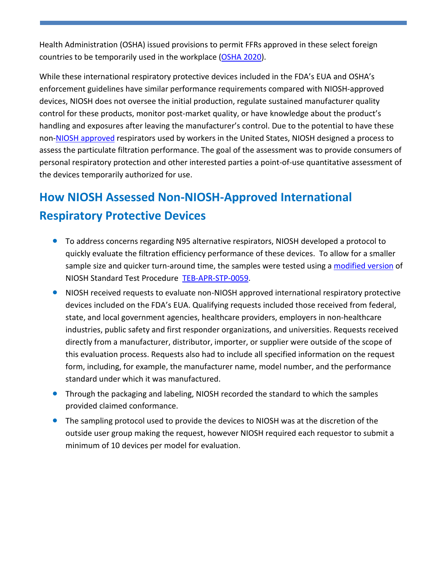Health Administration (OSHA) issued provisions to permit FFRs approved in these select foreign countries to be temporarily used in the workplace [\(OSHA 2020\)](https://www.osha.gov/memos/2020-04-03/enforcement-guidance-use-respiratory-protection-equipment-certified-under).

While these international respiratory protective devices included in the FDA's EUA and OSHA's enforcement guidelines have similar performance requirements compared with NIOSH-approved devices, NIOSH does not oversee the initial production, regulate sustained manufacturer quality control for these products, monitor post-market quality, or have knowledge about the product's handling and exposures after leaving the manufacturer's control. Due to the potential to have these non[-NIOSH approved](https://www.cdc.gov/niosh/npptl/respirators/testing/NonNIOSH.html) respirators used by workers in the United States, NIOSH designed a process to assess the particulate filtration performance. The goal of the assessment was to provide consumers of personal respiratory protection and other interested parties a point-of-use quantitative assessment of the devices temporarily authorized for use.

## **How NIOSH Assessed Non-NIOSH-Approved International Respiratory Protective Devices**

- To address concerns regarding N95 alternative respirators, NIOSH developed a protocol to quickly evaluate the filtration efficiency performance of these devices. To allow for a smaller sample size and quicker turn-around time, the samples were tested using a [modified version](https://www.cdc.gov/niosh/npptl/respirators/testing/pdfs/NonNIOSH_Filtration_TestPlan.pdf) of NIOSH Standard Test Procedure [TEB-APR-STP-0059.](https://www.cdc.gov/niosh/npptl/stps/pdfs/TEB-APR-STP-0059-508.pdf)
- NIOSH received requests to evaluate non-NIOSH approved international respiratory protective devices included on the FDA's EUA. Qualifying requests included those received from federal, state, and local government agencies, healthcare providers, employers in non-healthcare industries, public safety and first responder organizations, and universities. Requests received directly from a manufacturer, distributor, importer, or supplier were outside of the scope of this evaluation process. Requests also had to include all specified information on the request form, including, for example, the manufacturer name, model number, and the performance standard under which it was manufactured.
- Through the packaging and labeling, NIOSH recorded the standard to which the samples provided claimed conformance.
- The sampling protocol used to provide the devices to NIOSH was at the discretion of the outside user group making the request, however NIOSH required each requestor to submit a minimum of 10 devices per model for evaluation.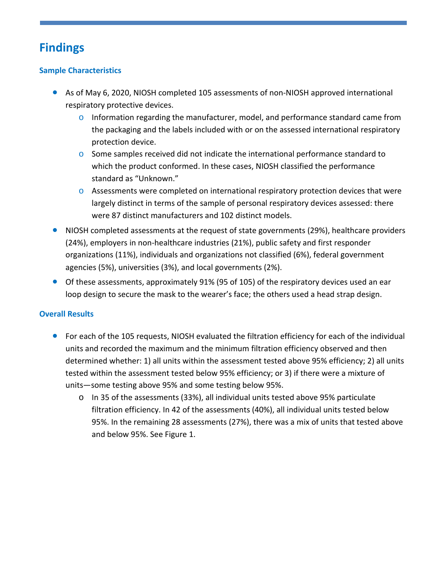## **Findings**

#### **Sample Characteristics**

- As of May 6, 2020, NIOSH completed 105 assessments of non-NIOSH approved international respiratory protective devices.
	- $\circ$  Information regarding the manufacturer, model, and performance standard came from the packaging and the labels included with or on the assessed international respiratory protection device.
	- $\circ$  Some samples received did not indicate the international performance standard to which the product conformed. In these cases, NIOSH classified the performance standard as "Unknown."
	- $\circ$  Assessments were completed on international respiratory protection devices that were largely distinct in terms of the sample of personal respiratory devices assessed: there were 87 distinct manufacturers and 102 distinct models.
- NIOSH completed assessments at the request of state governments (29%), healthcare providers (24%), employers in non-healthcare industries (21%), public safety and first responder organizations (11%), individuals and organizations not classified (6%), federal government agencies (5%), universities (3%), and local governments (2%).
- Of these assessments, approximately 91% (95 of 105) of the respiratory devices used an ear loop design to secure the mask to the wearer's face; the others used a head strap design.

#### **Overall Results**

- For each of the 105 requests, NIOSH evaluated the filtration efficiency for each of the individual units and recorded the maximum and the minimum filtration efficiency observed and then determined whether: 1) all units within the assessment tested above 95% efficiency; 2) all units tested within the assessment tested below 95% efficiency; or 3) if there were a mixture of units—some testing above 95% and some testing below 95%.
	- $\circ$  In 35 of the assessments (33%), all individual units tested above 95% particulate filtration efficiency. In 42 of the assessments (40%), all individual units tested below 95%. In the remaining 28 assessments (27%), there was a mix of units that tested above and below 95%. See Figure 1.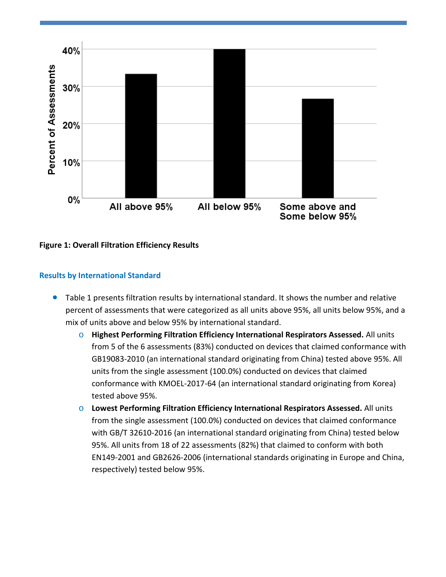

**Figure 1: Overall Filtration Efficiency Results**

#### **Results by International Standard**

- Table 1 presents filtration results by international standard. It shows the number and relative percent of assessments that were categorized as all units above 95%, all units below 95%, and a mix of units above and below 95% by international standard.
	- o **Highest Performing Filtration Efficiency International Respirators Assessed.** All units from 5 of the 6 assessments (83%) conducted on devices that claimed conformance with GB19083-2010 (an international standard originating from China) tested above 95%. All units from the single assessment (100.0%) conducted on devices that claimed conformance with KMOEL-2017-64 (an international standard originating from Korea) tested above 95%.
	- o **Lowest Performing Filtration Efficiency International Respirators Assessed.** All units from the single assessment (100.0%) conducted on devices that claimed conformance with GB/T 32610-2016 (an international standard originating from China) tested below 95%. All units from 18 of 22 assessments (82%) that claimed to conform with both EN149-2001 and GB2626-2006 (international standards originating in Europe and China, respectively) tested below 95%.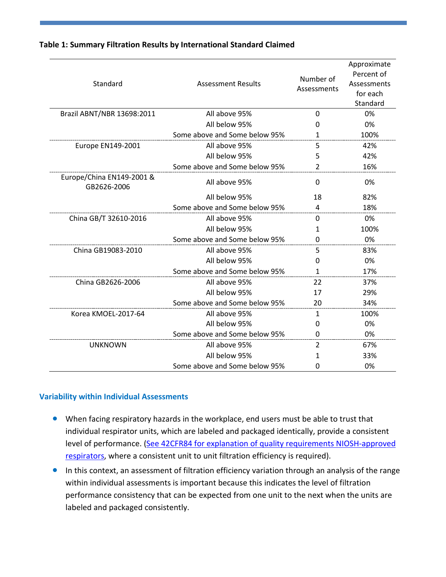| Standard                                 | Number of<br><b>Assessment Results</b><br>Assessments |                | Approximate<br>Percent of<br>Assessments<br>for each<br>Standard |
|------------------------------------------|-------------------------------------------------------|----------------|------------------------------------------------------------------|
| Brazil ABNT/NBR 13698:2011               | All above 95%<br>$\Omega$                             |                | 0%                                                               |
|                                          | All below 95%                                         | 0              | 0%                                                               |
|                                          | Some above and Some below 95%                         | $\mathbf{1}$   | 100%                                                             |
| Europe EN149-2001                        | 5<br>All above 95%                                    |                | 42%                                                              |
|                                          | All below 95%                                         | 5              | 42%                                                              |
|                                          | Some above and Some below 95%                         | $\overline{2}$ | 16%                                                              |
| Europe/China EN149-2001 &<br>GB2626-2006 | All above 95%                                         | $\mathbf{0}$   | 0%                                                               |
|                                          | All below 95%                                         | 18             | 82%                                                              |
|                                          | Some above and Some below 95%                         | 4              | 18%                                                              |
| China GB/T 32610-2016                    | All above 95%                                         | 0              | 0%                                                               |
|                                          | All below 95%                                         | 1              | 100%                                                             |
|                                          | Some above and Some below 95%                         | 0              | 0%                                                               |
| China GB19083-2010                       | All above 95%                                         | 5              | 83%                                                              |
|                                          | All below 95%                                         | O              | 0%                                                               |
|                                          | Some above and Some below 95%                         | $\mathbf{1}$   | 17%                                                              |
| China GB2626-2006                        | All above 95%                                         | 22             | 37%                                                              |
|                                          | All below 95%                                         | 17             | 29%                                                              |
|                                          | Some above and Some below 95%                         | 20             | 34%                                                              |
| Korea KMOEL-2017-64                      | All above 95%                                         | $\mathbf{1}$   | 100%                                                             |
|                                          | All below 95%                                         | O              | 0%                                                               |
|                                          | Some above and Some below 95%                         | 0              | 0%                                                               |
| <b>UNKNOWN</b>                           | All above 95%                                         | $\overline{2}$ | 67%                                                              |
|                                          | All below 95%                                         | 1              | 33%                                                              |
|                                          | Some above and Some below 95%                         | O              | 0%                                                               |

#### **Table 1: Summary Filtration Results by International Standard Claimed**

#### **Variability within Individual Assessments**

- When facing respiratory hazards in the workplace, end users must be able to trust that individual respirator units, which are labeled and packaged identically, provide a consistent level of performance. (See 42CFR84 for explanation of [quality requirements](https://www.cdc.gov/niosh/npptl/topics/respirators/pt84abs2.html) NIOSH-approved [respirators,](https://www.cdc.gov/niosh/npptl/topics/respirators/pt84abs2.html) where a consistent unit to unit filtration efficiency is required).
- In this context, an assessment of filtration efficiency variation through an analysis of the range within individual assessments is important because this indicates the level of filtration performance consistency that can be expected from one unit to the next when the units are labeled and packaged consistently.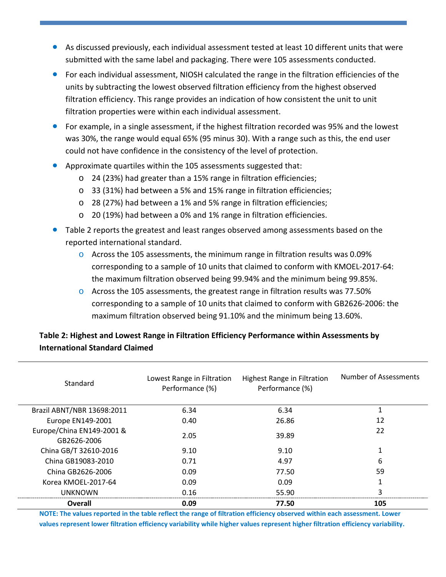- As discussed previously, each individual assessment tested at least 10 different units that were submitted with the same label and packaging. There were 105 assessments conducted.
- For each individual assessment, NIOSH calculated the range in the filtration efficiencies of the units by subtracting the lowest observed filtration efficiency from the highest observed filtration efficiency. This range provides an indication of how consistent the unit to unit filtration properties were within each individual assessment.
- For example, in a single assessment, if the highest filtration recorded was 95% and the lowest was 30%, the range would equal 65% (95 minus 30). With a range such as this, the end user could not have confidence in the consistency of the level of protection.
- Approximate quartiles within the 105 assessments suggested that:
	- o 24 (23%) had greater than a 15% range in filtration efficiencies;
	- o 33 (31%) had between a 5% and 15% range in filtration efficiencies;
	- o 28 (27%) had between a 1% and 5% range in filtration efficiencies;
	- o 20 (19%) had between a 0% and 1% range in filtration efficiencies.
- Table 2 reports the greatest and least ranges observed among assessments based on the reported international standard.
	- $\circ$  Across the 105 assessments, the minimum range in filtration results was 0.09% corresponding to a sample of 10 units that claimed to conform with KMOEL-2017-64: the maximum filtration observed being 99.94% and the minimum being 99.85%.
	- $\circ$  Across the 105 assessments, the greatest range in filtration results was 77.50% corresponding to a sample of 10 units that claimed to conform with GB2626-2006: the maximum filtration observed being 91.10% and the minimum being 13.60%.

#### **Table 2: Highest and Lowest Range in Filtration Efficiency Performance within Assessments by International Standard Claimed**

| Standard                                 | Lowest Range in Filtration<br>Performance (%) | Highest Range in Filtration<br>Performance (%) | Number of Assessments |
|------------------------------------------|-----------------------------------------------|------------------------------------------------|-----------------------|
| Brazil ABNT/NBR 13698:2011               | 6.34                                          | 6.34                                           |                       |
| Europe EN149-2001                        | 0.40                                          | 26.86                                          | 12                    |
| Europe/China EN149-2001 &<br>GB2626-2006 | 2.05                                          | 39.89                                          | 22                    |
| China GB/T 32610-2016                    | 9.10                                          | 9.10                                           |                       |
| China GB19083-2010                       | 0.71                                          | 4.97                                           | 6                     |
| China GB2626-2006                        | 0.09                                          | 77.50                                          | 59                    |
| Korea KMOEL-2017-64                      | 0.09                                          | 0.09                                           |                       |
| UNKNOWN                                  | 0.16                                          | 55.90                                          | ς                     |
| Overall                                  | 0.09                                          | 77.50                                          | 105                   |

**NOTE: The values reported in the table reflect the range of filtration efficiency observed within each assessment. Lower values represent lower filtration efficiency variability while higher values represent higher filtration efficiency variability.**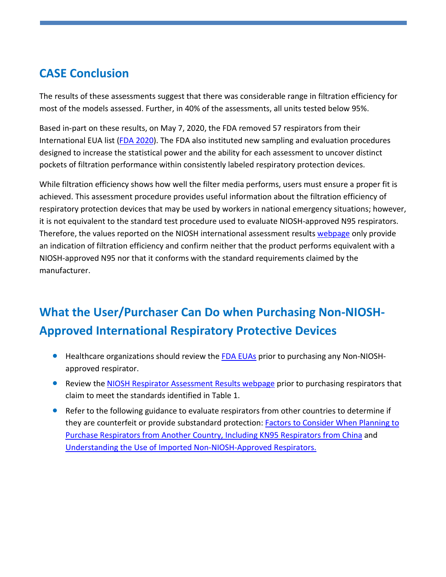### **CASE Conclusion**

The results of these assessments suggest that there was considerable range in filtration efficiency for most of the models assessed. Further, in 40% of the assessments, all units tested below 95%.

Based in-part on these results, on May 7, 2020, the FDA removed 57 respirators from their International EUA list [\(FDA 2020\)](https://www.fda.gov/medical-devices/coronavirus-disease-2019-covid-19-emergency-use-authorizations-medical-devices/personal-protective-equipment-euas#nonniosh). The FDA also instituted new sampling and evaluation procedures designed to increase the statistical power and the ability for each assessment to uncover distinct pockets of filtration performance within consistently labeled respiratory protection devices.

While filtration efficiency shows how well the filter media performs, users must ensure a proper fit is achieved. This assessment procedure provides useful information about the filtration efficiency of respiratory protection devices that may be used by workers in national emergency situations; however, it is not equivalent to the standard test procedure used to evaluate NIOSH-approved N95 respirators. Therefore, the values reported on the NIOSH international assessment results [webpage](https://www.cdc.gov/niosh/npptl/respirators/testing/NonNIOSHresults.html) only provide an indication of filtration efficiency and confirm neither that the product performs equivalent with a NIOSH-approved N95 nor that it conforms with the standard requirements claimed by the manufacturer.

## **What the User/Purchaser Can Do when Purchasing Non-NIOSH-Approved International Respiratory Protective Devices**

- **•** Healthcare organizations should review the **FDA EUAs** prior to purchasing any Non-NIOSHapproved respirator.
- Review the [NIOSH Respirator Assessment Results](https://www.cdc.gov/niosh/npptl/respirators/testing/NonNIOSHresults.html) webpage prior to purchasing respirators that claim to meet the standards identified in Table 1.
- Refer to the following guidance to evaluate respirators from other countries to determine if they are counterfeit or provide substandard protection: [Factors to Consider When Planning to](https://www.cdc.gov/coronavirus/2019-ncov/hcp/ppe-strategy/international-respirator-purchase.html)  [Purchase Respirators from Another Country, Including KN95 Respirators from China](https://www.cdc.gov/coronavirus/2019-ncov/hcp/ppe-strategy/international-respirator-purchase.html) and [Understanding the Use of Imported Non-NIOSH-Approved Respirators.](https://blogs.cdc.gov/niosh-science-blog/2020/04/23/imported-respirators/)